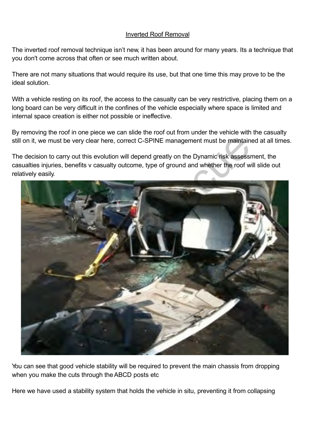## Inverted Roof Removal

The inverted roof removal technique isn't new, it has been around for many years. Its a technique that you don't come across that often or see much written about.

There are not many situations that would require its use, but that one time this may prove to be the ideal solution.

With a vehicle resting on its roof, the access to the casualty can be very restrictive, placing them on a long board can be very difficult in the confines of the vehicle especially where space is limited and internal space creation is either not possible or ineffective.

By removing the roof in one piece we can slide the roof out from under the vehicle with the casualty still on it, we must be very clear here, correct C-SPINE management must be maintained at all times.

The decision to carry out this evolution will depend greatly on the Dynamic risk assessment, the casualties injuries, benefits v casualty outcome, type of ground and whether the roof will slide out relatively easily.



You can see that good vehicle stability will be required to prevent the main chassis from dropping when you make the cuts through the ABCD posts etc

Here we have used a stability system that holds the vehicle in situ, preventing it from collapsing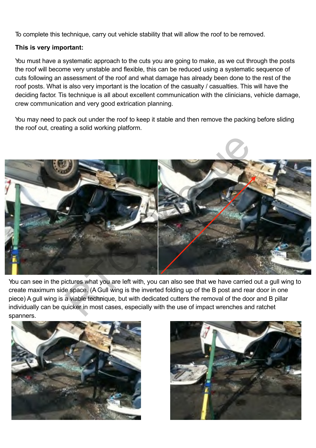To complete this technique, carry out vehicle stability that will allow the roof to be removed.

## **This is very important:**

You must have a systematic approach to the cuts you are going to make, as we cut through the posts the roof will become very unstable and flexible, this can be reduced using a systematic sequence of cuts following an assessment of the roof and what damage has already been done to the rest of the roof posts. What is also very important is the location of the casualty / casualties. This will have the deciding factor. Tis technique is all about excellent communication with the clinicians, vehicle damage, crew communication and very good extrication planning.

You may need to pack out under the roof to keep it stable and then remove the packing before sliding the roof out, creating a solid working platform.



You can see in the pictures what you are left with, you can also see that we have carried out a gull wing to create maximum side space. (A Gull wing is the inverted folding up of the B post and rear door in one piece) A gull wing is a viable technique, but with dedicated cutters the removal of the door and B pillar individually can be quicker in most cases, especially with the use of impact wrenches and ratchet spanners.